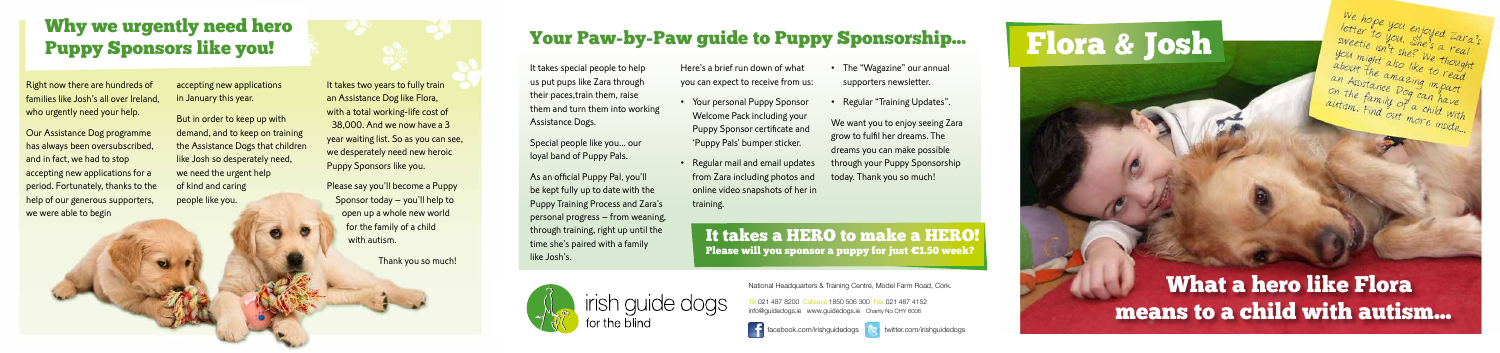# Your Paw-by-Paw guide to Puppy Sponsorship...

It takes special people to help us put pups like Zara through<br>their paces,train them, raise their paces,train them, raise them and turn them into working Assistance Dogs.

Special people like you... our loyal band of Puppy Pals.

As an official Puppy Pal, you'll Puppy Training Process and Zara's Puppy Training Process and Zara's personal progress – from weaning, through training, right up until the time she's paired with a family like Josh's.



We want you to enjoy seeing Zara grow to fulfil her dreams. The dreams you can make possible through your Puppy Sponsorship today. Thank you so much!

Here's a brief run down of what you can expect to receive from us:

# Why we urgently need hero **the straight was a straight was very straight was well been a** vour Paw-by-Paw guide to Puppy Sponsorship... **The Readers** of the South Puppy Sponsorship and The Readers of the South Puppy Sponso Puppy Sponsors like you!

Right now there are hundreds of<br>families like Josh's all over Ireland. families like Josh's all over Ireland, who urgently need your help.

- Your personal Puppy Sponsor Welcome Pack including your Puppy Sponsor certificate and 'Puppy Pals' bumper sticker.
- Regular mail and email updates from Zara including photos and online video snapshots of her in training.
- The "Wagazine" our annual supporters newsletter.
- Regular "Training Updates".

But in order to keep up with<br>demand, and to keep on training demand, and to keep on training the Assistance Dogs that children like Josh so desperately need, we need the urgent help of kind and caring people like you.

It takes two years to fully train<br>an Assistance Dog like Flora, with a total working-life cost of  $38,000$ . And we now have a 3 year waiting list. So as you can see, year waiting list. So as you can see, we desperately need new heroic Puppy Sponsors like you.

# What a hero like Flora means to a child with autism...

We hope you enjoyed Zara's<br>sweetie isn't she's a real<br>you might also like to read<br>about the amazing to read

about the annuazing impact an Assistance Dog can have<br>On the family of can have on the family of can have<br>autism. Find out more autism. Find out more inside...

It takes a HERO to make a HERO! Please will you sponsor a puppy for just €1.50 week?





Our Assistance Dog programme has always been oversubscribed,<br>and in fact, we had to stop and in fact, we had to stop accepting new applications for a period. Fortunately, thanks to the help of our generous supporters, we were able to begin

accepting new applications in January this year.

> Please say you'll become a Puppy Sponsor today – you'll help to open up a whole new world for the family of a child with autism.

> > Thank you so much!

National Headquarters & Training Centre, Model Farm Road, Cork.

Tel 021 487 8200 Callsave 1850 506 300 Fax 021 487 4152 info@guidedogs.ie www.guidedogs.ie Charity No CHY 6006